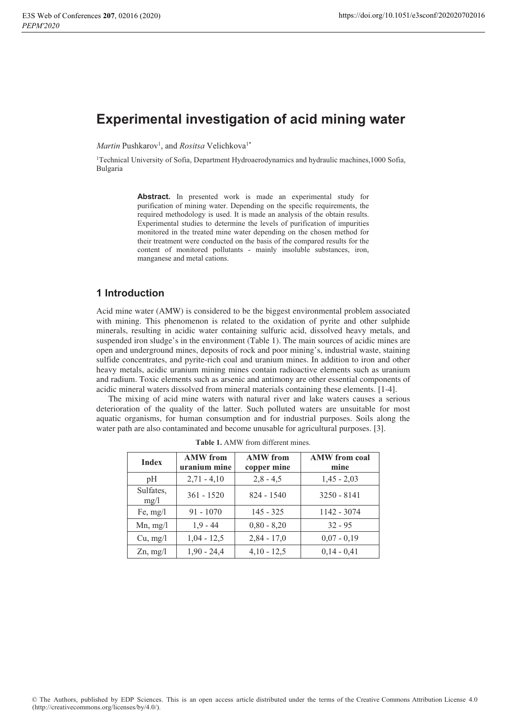# **Experimental investigation of acid mining water**

Martin Pushkarov<sup>1</sup>, and Rositsa Velichkova<sup>1\*</sup>

<sup>1</sup>Technical University of Sofia, Department Hydroaerodynamics and hydraulic machines, 1000 Sofia, Bulgaria

> **Abstract. In presented work is made an experimental study for** purification of mining water. Depending on the specific requirements, the required methodology is used. It is made an analysis of the obtain results. Experimental studies to determine the levels of purification of impurities monitored in the treated mine water depending on the chosen method for their treatment were conducted on the basis of the compared results for the content of monitored pollutants - mainly insoluble substances, iron, manganese and metal cations.

#### 1 Introduction

Acid mine water (AMW) is considered to be the biggest environmental problem associated with mining. This phenomenon is related to the oxidation of pyrite and other sulphide minerals, resulting in acidic water containing sulfuric acid, dissolved heavy metals, and suspended iron sludge's in the environment (Table 1). The main sources of acidic mines are open and underground mines, deposits of rock and poor mining's, industrial waste, staining sulfide concentrates, and pyrite-rich coal and uranium mines. In addition to iron and other heavy metals, acidic uranium mining mines contain radioactive elements such as uranium and radium. Toxic elements such as arsenic and antimony are other essential components of acidic mineral waters dissolved from mineral materials containing these elements. [1-4].

The mixing of acid mine waters with natural river and lake waters causes a serious deterioration of the quality of the latter. Such polluted waters are unsuitable for most aquatic organisms, for human consumption and for industrial purposes. Soils along the water path are also contaminated and become unusable for agricultural purposes. [3].

| <b>Index</b>      | <b>AMW</b> from<br>uranium mine | <b>AMW</b> from<br>copper mine | <b>AMW</b> from coal<br>mine |
|-------------------|---------------------------------|--------------------------------|------------------------------|
| pH                | $2,71 - 4,10$                   | $2,8 - 4,5$                    | $1,45 - 2,03$                |
| Sulfates,<br>mg/1 | $361 - 1520$                    | $824 - 1540$                   | $3250 - 8141$                |
| Fe, $mg/l$        | $91 - 1070$                     | $145 - 325$                    | 1142 - 3074                  |
| $Mn$ , mg/l       | $1.9 - 44$                      | $0,80 - 8,20$                  | $32 - 95$                    |
| Cu, mg/l          | $1,04 - 12,5$                   | $2,84 - 17,0$                  | $0,07 - 0,19$                |
| $Zn$ , mg/l       | $1,90 - 24,4$                   | $4,10 - 12,5$                  | $0,14 - 0,41$                |

Table 1. AMW from different mines.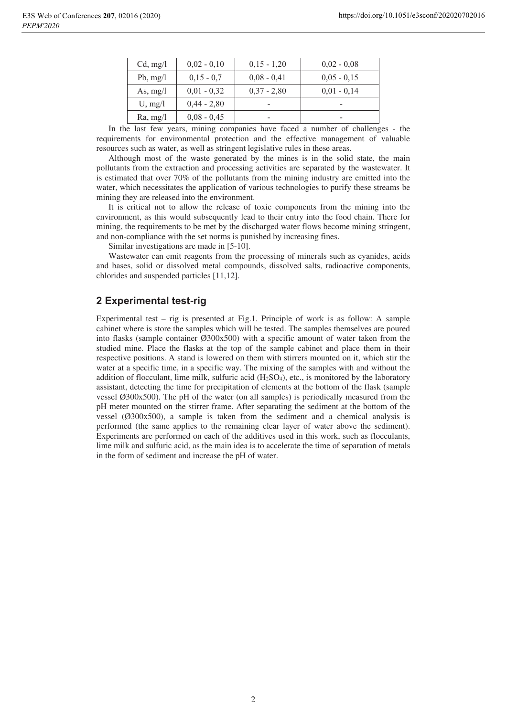| Cd, mg/l    | $0,02 - 0,10$ | $0,15 - 1,20$ | $0.02 - 0.08$ |
|-------------|---------------|---------------|---------------|
| $Pb$ , mg/l | $0,15 - 0,7$  | $0,08 - 0,41$ | $0,05 - 0,15$ |
| As, $mg/l$  | $0,01 - 0,32$ | $0,37 - 2,80$ | $0,01 - 0,14$ |
| U, mg/l     | $0,44 - 2,80$ |               |               |
| Ra, mg/l    | $0,08 - 0,45$ |               |               |

In the last few years, mining companies have faced a number of challenges - the requirements for environmental protection and the effective management of valuable resources such as water, as well as stringent legislative rules in these areas.

Although most of the waste generated by the mines is in the solid state, the main pollutants from the extraction and processing activities are separated by the wastewater. It is estimated that over 70% of the pollutants from the mining industry are emitted into the water, which necessitates the application of various technologies to purify these streams be mining they are released into the environment.

It is critical not to allow the release of toxic components from the mining into the environment, as this would subsequently lead to their entry into the food chain. There for mining, the requirements to be met by the discharged water flows become mining stringent, and non-compliance with the set norms is punished by increasing fines.

Similar investigations are made in [5-10].

Wastewater can emit reagents from the processing of minerals such as cyanides, acids and bases, solid or dissolved metal compounds, dissolved salts, radioactive components, chlorides and suspended particles [11,12].

## 2 Experimental test-rig

Experimental test – rig is presented at Fig.1. Principle of work is as follow: A sample cabinet where is store the samples which will be tested. The samples themselves are poured into flasks (sample container Ø300x500) with a specific amount of water taken from the studied mine. Place the flasks at the top of the sample cabinet and place them in their respective positions. A stand is lowered on them with stirrers mounted on it, which stir the water at a specific time, in a specific way. The mixing of the samples with and without the addition of flocculant, lime milk, sulfuric acid  $(H_2SO_4)$ , etc., is monitored by the laboratory assistant, detecting the time for precipitation of elements at the bottom of the flask (sample vessel Ø300x500). The pH of the water (on all samples) is periodically measured from the pH meter mounted on the stirrer frame. After separating the sediment at the bottom of the vessel  $(0.0300 \times 500)$ , a sample is taken from the sediment and a chemical analysis is performed (the same applies to the remaining clear layer of water above the sediment). Experiments are performed on each of the additives used in this work, such as flocculants, lime milk and sulfuric acid, as the main idea is to accelerate the time of separation of metals in the form of sediment and increase the pH of water.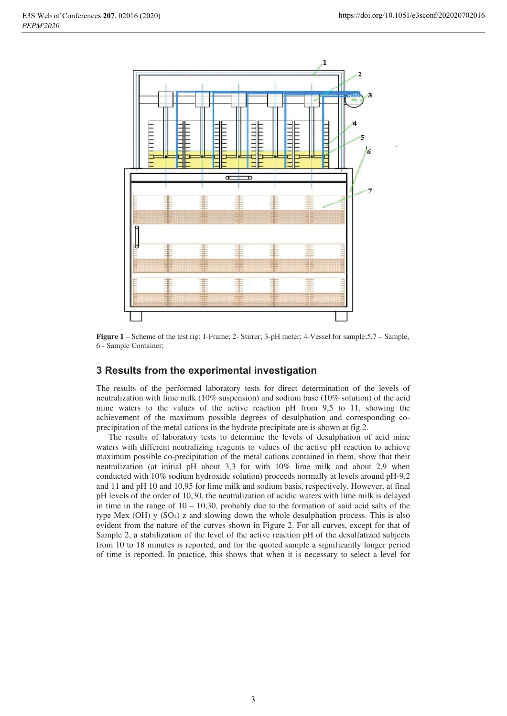

**Figure 1** – Scheme of the test rig: 1-Frame; 2- Stirrer; 3-pH meter; 4-Vessel for sample;5,7 – Sample, 6 - Sample Container;

## **3 Results from the experimental investigation**

The results of the performed laboratory tests for direct determination of the levels of neutralization with lime milk (10% suspension) and sodium base (10% solution) of the acid mine waters to the values of the active reaction pH from 9,5 to 11, showing the achievement of the maximum possible degrees of desulphation and corresponding coprecipitation of the metal cations in the hydrate precipitate are is shown at fig.2.

The results of laboratory tests to determine the levels of desulphation of acid mine waters with different neutralizing reagents to values of the active pH reaction to achieve maximum possible co-precipitation of the metal cations contained in them, show that their neutralization (at initial pH about 3,3 for with 10% lime milk and about 2,9 when conducted with 10% sodium hydroxide solution) proceeds normally at levels around pH-9,2 and 11 and pH 10 and 10,95 for lime milk and sodium basis, respectively. However, at final pH levels of the order of 10,30, the neutralization of acidic waters with lime milk is delayed in time in the range of  $10 - 10,30$ , probably due to the formation of said acid salts of the type Mex (OH)  $y$  (SO<sub>4</sub>) z and slowing down the whole desulphation process. This is also evident from the nature of the curves shown in Figure 2. For all curves, except for that of Sample 2, a stabilization of the level of the active reaction pH of the desulfatized subjects from 10 to 18 minutes is reported, and for the quoted sample a significantly longer period of time is reported. In practice, this shows that when it is necessary to select a level for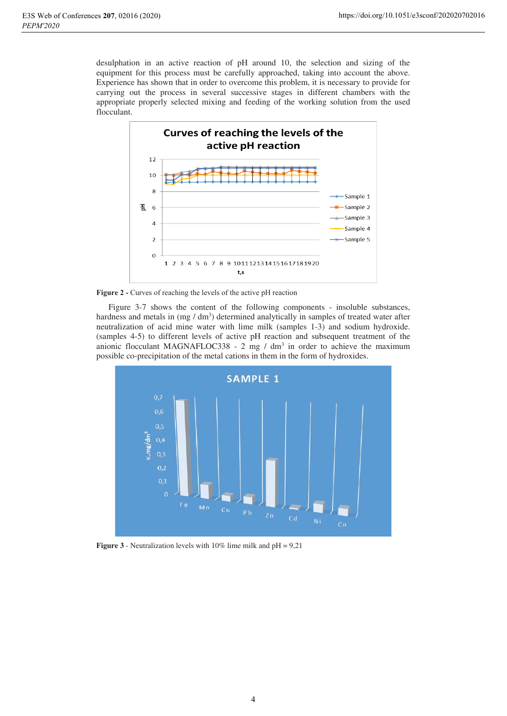desulphation in an active reaction of pH around 10, the selection and sizing of the equipment for this process must be carefully approached, taking into account the above. Experience has shown that in order to overcome this problem, it is necessary to provide for carrying out the process in several successive stages in different chambers with the appropriate properly selected mixing and feeding of the working solution from the used flocculant.



Figure 2 - Curves of reaching the levels of the active pH reaction

Figure 3-7 shows the content of the following components - insoluble substances, hardness and metals in (mg / dm<sup>3</sup>) determined analytically in samples of treated water after neutralization of acid mine water with lime milk (samples 1-3) and sodium hydroxide. (samples 4-5) to different levels of active pH reaction and subsequent treatment of the anionic flocculant MAGNAFLOC338 - 2 mg / dm<sup>3</sup> in order to achieve the maximum possible co-precipitation of the metal cations in them in the form of hydroxides.



**Figure 3** - Neutralization levels with 10% lime milk and  $pH = 9.21$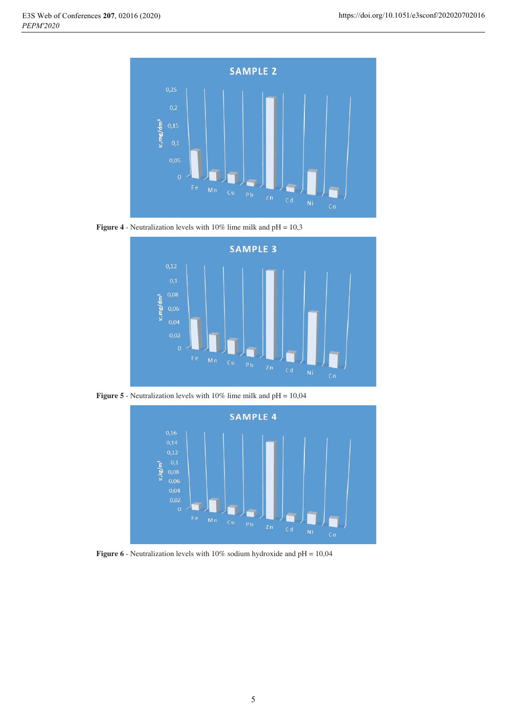

**Figure 4** - Neutralization levels with 10% lime milk and pH = 10,3



**Figure 5** - Neutralization levels with 10% lime milk and pH = 10,04



**Figure 6** - Neutralization levels with 10% sodium hydroxide and pH = 10,04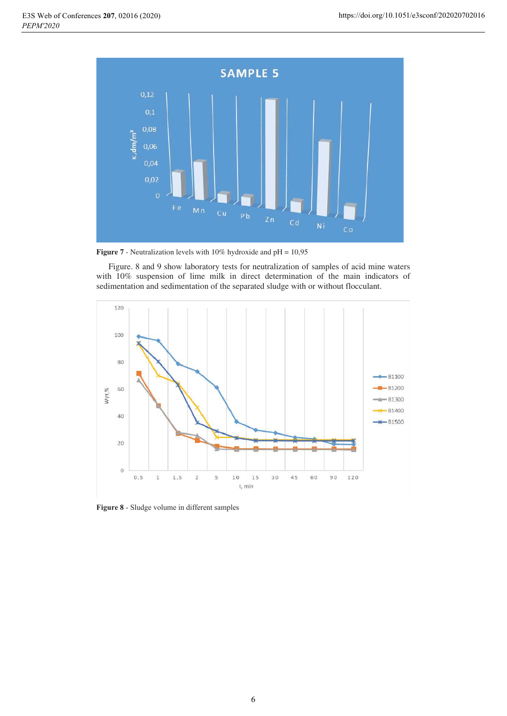

**Figure 7** - Neutralization levels with 10% hydroxide and pH = 10,95

Figure. 8 and 9 show laboratory tests for neutralization of samples of acid mine waters with 10% suspension of lime milk in direct determination of the main indicators of sedimentation and sedimentation of the separated sludge with or without flocculant.



Figure 8 - Sludge volume in different samples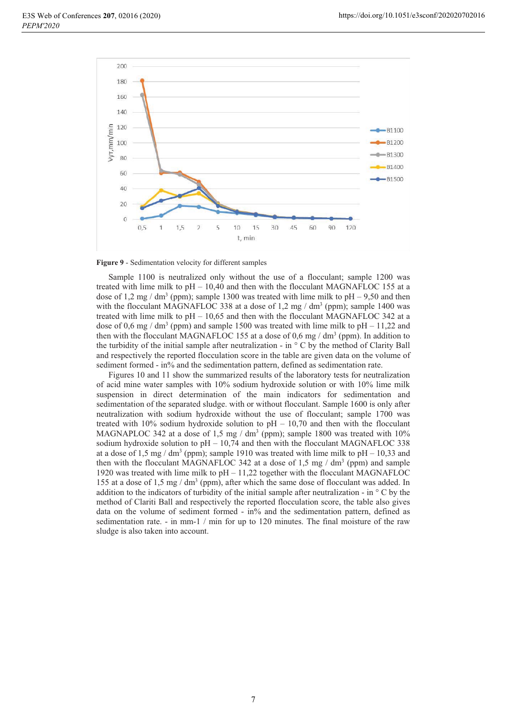

Figure 9 - Sedimentation velocity for different samples

Sample 1100 is neutralized only without the use of a flocculant; sample 1200 was treated with lime milk to  $pH - 10,40$  and then with the flocculant MAGNAFLOC 155 at a dose of 1,2 mg / dm<sup>3</sup> (ppm); sample 1300 was treated with lime milk to pH – 9,50 and then with the flocculant MAGNAFLOC 338 at a dose of 1,2 mg / dm<sup>3</sup> (ppm); sample 1400 was treated with lime milk to  $pH - 10,65$  and then with the flocculant MAGNAFLOC 342 at a dose of 0,6 mg / dm<sup>3</sup> (ppm) and sample 1500 was treated with lime milk to pH - 11,22 and then with the flocculant MAGNAFLOC 155 at a dose of 0,6 mg / dm<sup>3</sup> (ppm). In addition to the turbidity of the initial sample after neutralization - in  $\degree$  C by the method of Clarity Ball and respectively the reported flocculation score in the table are given data on the volume of sediment formed - in% and the sedimentation pattern, defined as sedimentation rate.

Figures 10 and 11 show the summarized results of the laboratory tests for neutralization of acid mine water samples with 10% sodium hydroxide solution or with 10% lime milk suspension in direct determination of the main indicators for sedimentation and sedimentation of the separated sludge. with or without flocculant. Sample 1600 is only after neutralization with sodium hydroxide without the use of flocculant; sample 1700 was treated with 10% sodium hydroxide solution to  $pH - 10,70$  and then with the flocculant MAGNAPLOC 342 at a dose of 1,5 mg / dm<sup>3</sup> (ppm); sample 1800 was treated with 10% sodium hydroxide solution to  $pH - 10,74$  and then with the flocculant MAGNAFLOC 338 at a dose of 1.5 mg/dm<sup>3</sup> (ppm); sample 1910 was treated with lime milk to  $pH - 10,33$  and then with the flocculant MAGNAFLOC 342 at a dose of 1.5 mg /  $dm<sup>3</sup>$  (ppm) and sample 1920 was treated with lime milk to  $pH - 11,22$  together with the flocculant MAGNAFLOC 155 at a dose of 1,5 mg / dm<sup>3</sup> (ppm), after which the same dose of flocculant was added. In addition to the indicators of turbidity of the initial sample after neutralization - in  $\circ$  C by the method of Clariti Ball and respectively the reported flocculation score, the table also gives data on the volume of sediment formed -  $in\%$  and the sedimentation pattern, defined as sedimentation rate. - in mm-1 / min for up to 120 minutes. The final moisture of the raw sludge is also taken into account.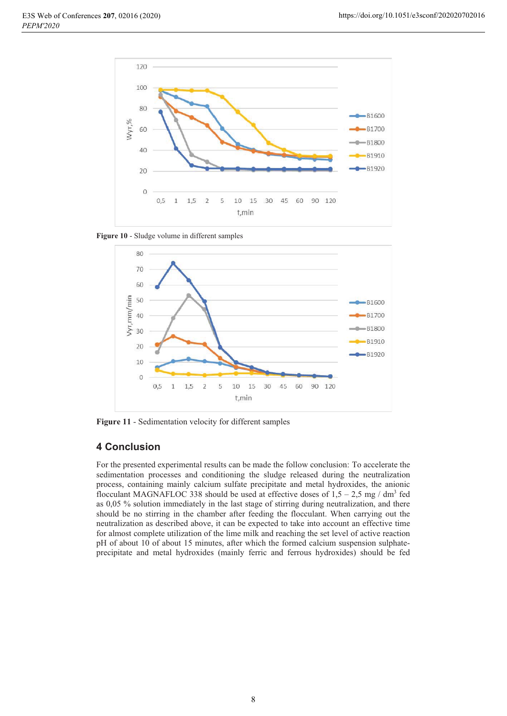

Figure 10 - Sludge volume in different samples



Figure 11 - Sedimentation velocity for different samples

## **4 Conclusion**

For the presented experimental results can be made the follow conclusion: To accelerate the sedimentation processes and conditioning the sludge released during the neutralization process, containing mainly calcium sulfate precipitate and metal hydroxides, the anionic flocculant MAGNAFLOC 338 should be used at effective doses of  $1,5 - 2,5$  mg / dm<sup>3</sup> fed as 0,05 % solution immediately in the last stage of stirring during neutralization, and there should be no stirring in the chamber after feeding the flocculant. When carrying out the neutralization as described above, it can be expected to take into account an effective time for almost complete utilization of the lime milk and reaching the set level of active reaction pH of about 10 of about 15 minutes, after which the formed calcium suspension sulphateprecipitate and metal hydroxides (mainly ferric and ferrous hydroxides) should be fed